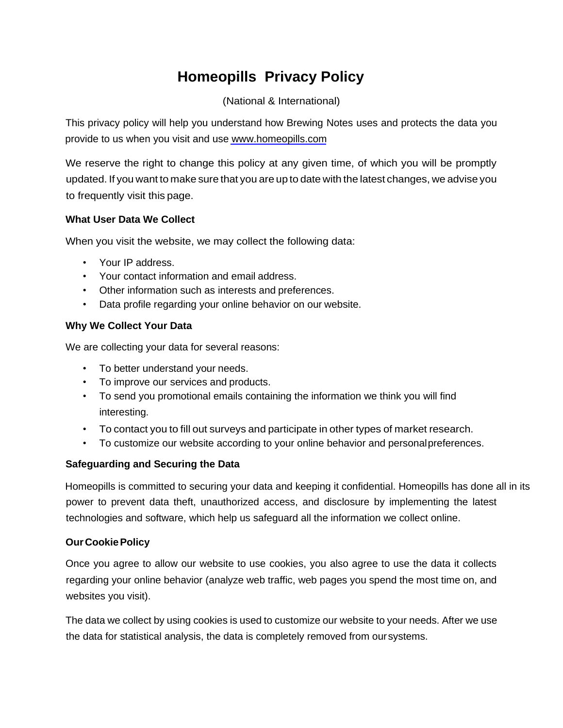# **Homeopills Privacy Policy**

# (National & International)

This privacy policy will help you understand how Brewing Notes uses and protects the data you provide to us when you visit and us[e www.homeopills.com](http://www.brewingnotes.in/)

We reserve the right to change this policy at any given time, of which you will be promptly updated. If you want to make sure that you are up to date with the latest changes, we advise you to frequently visit this page.

## **What User Data We Collect**

When you visit the website, we may collect the following data:

- Your IP address.
- Your contact information and email address.
- Other information such as interests and preferences.
- Data profile regarding your online behavior on our website.

## **Why We Collect Your Data**

We are collecting your data for several reasons:

- To better understand your needs.
- To improve our services and products.
- To send you promotional emails containing the information we think you will find interesting.
- To contact you to fill out surveys and participate in other types of market research.
- To customize our website according to your online behavior and personalpreferences.

#### **Safeguarding and Securing the Data**

power to prevent data theft, unauthorized access, and disclosure by implementing the latest technologies and software, which help us safeguard all the information we collect online. Homeopills is committed to securing your data and keeping it confidential. Homeopills has done all in its

#### **OurCookiePolicy**

Once you agree to allow our website to use cookies, you also agree to use the data it collects regarding your online behavior (analyze web traffic, web pages you spend the most time on, and websites you visit).

The data we collect by using cookies is used to customize our website to your needs. After we use the data for statistical analysis, the data is completely removed from oursystems.